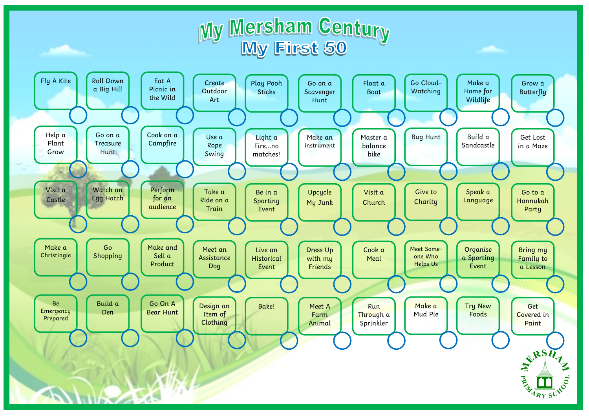## My Mersham Century<br>My First 50